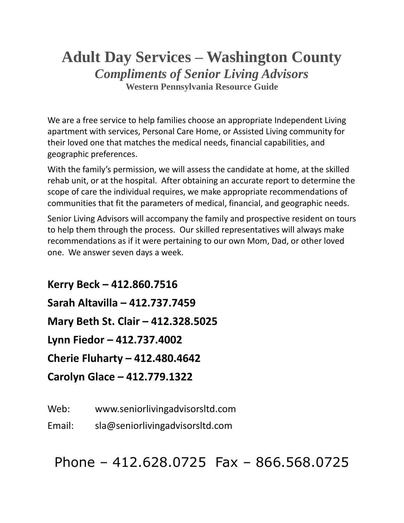## **Adult Day Services – Washington County** *Compliments of Senior Living Advisors* **Western Pennsylvania Resource Guide**

We are a free service to help families choose an appropriate Independent Living apartment with services, Personal Care Home, or Assisted Living community for their loved one that matches the medical needs, financial capabilities, and geographic preferences.

With the family's permission, we will assess the candidate at home, at the skilled rehab unit, or at the hospital. After obtaining an accurate report to determine the scope of care the individual requires, we make appropriate recommendations of communities that fit the parameters of medical, financial, and geographic needs.

Senior Living Advisors will accompany the family and prospective resident on tours to help them through the process. Our skilled representatives will always make recommendations as if it were pertaining to our own Mom, Dad, or other loved one. We answer seven days a week.

**Kerry Beck – 412.860.7516 Sarah Altavilla – 412.737.7459 Mary Beth St. Clair – 412.328.5025 Lynn Fiedor – 412.737.4002 Cherie Fluharty – 412.480.4642 Carolyn Glace – 412.779.1322**

Web: www.seniorlivingadvisorsltd.com

Email: sla@seniorlivingadvisorsltd.com

Phone – 412.628.0725 Fax – 866.568.0725